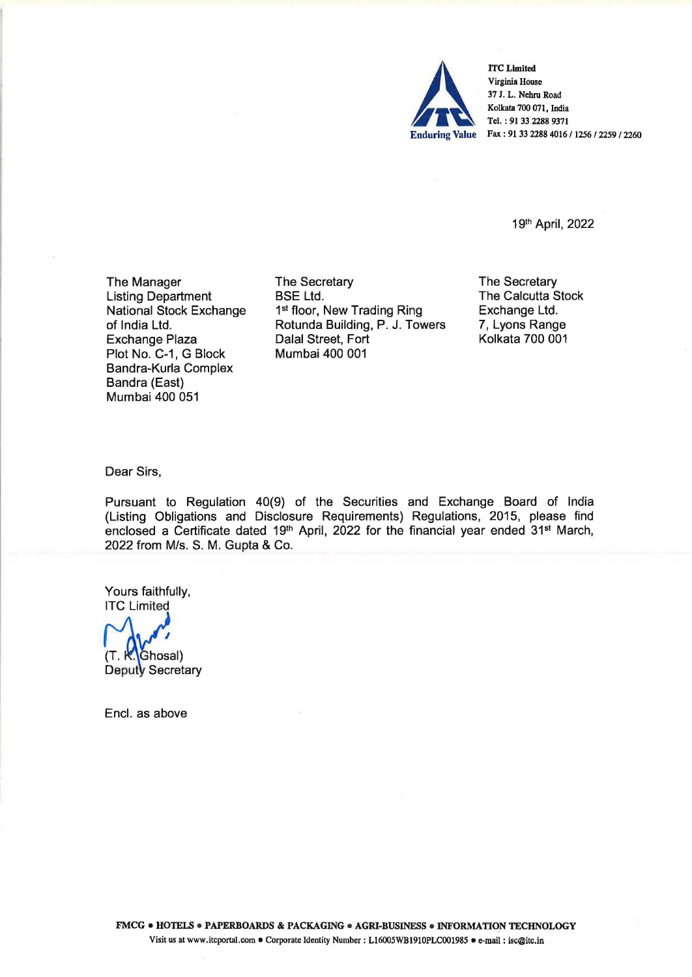

ITC Limited<br>
Virginia House<br>
37 J. L. Nehru Road<br>
Kolkata 700 071, India<br>
Tel. : 91 33 2288 9371<br>
Enduring Value Fax : 91 33 2288 4016 / 1256 / 2259 / 2260 Virginia House 37 I. L. Nehru Road Kolkata 700 071, India Tel. : 91 33 2288 9371

1 gth April, 2022

The Manager Listing Department National Stock Exchange of India Ltd. Exchange Plaza Plot No. C-1, G Block Bandra-Kurla Complex Bandra (East) Mumbai 400 051

The Secretary BSE Ltd. 1st floor, New Trading Ring Rotunda Building, P. J. Towers Dalal Street, Fort Mumbai 400 001

The Secretary The Calcutta Stock Exchange Ltd. 7, Lyons Range Kolkata 700 001

Dear Sirs,

Pursuant to Regulation 40(9) of the Securities and Exchange Board of India (Listing Obligations and Disclosure Requirements) Regulations, 2015, please find enclosed a Certificate dated 19<sup>th</sup> April, 2022 for the financial year ended 31<sup>st</sup> March, 2022 from M/s. S. M. Gupta & Co.

Yours faithfully, ITC Limited

(T. K. Ghosal)<br>Deputy Secretary

Encl. as above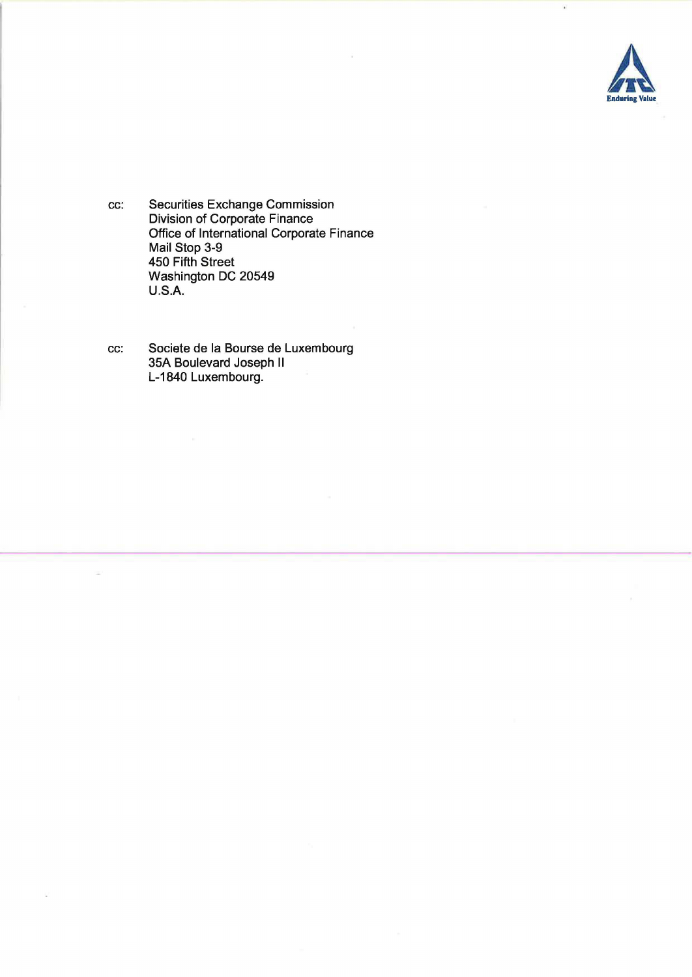

cc: Securities Exchange Commission Division of Corporate Finance Office of International Corporate Finance Mail Stop 3-9 450 Fifth Street Washington DC 20549 U.S.A.

cc: Societe de la Bourse de Luxembourg 35A Boulevard Joseph <sup>11</sup> L-1840 Luxembourg.